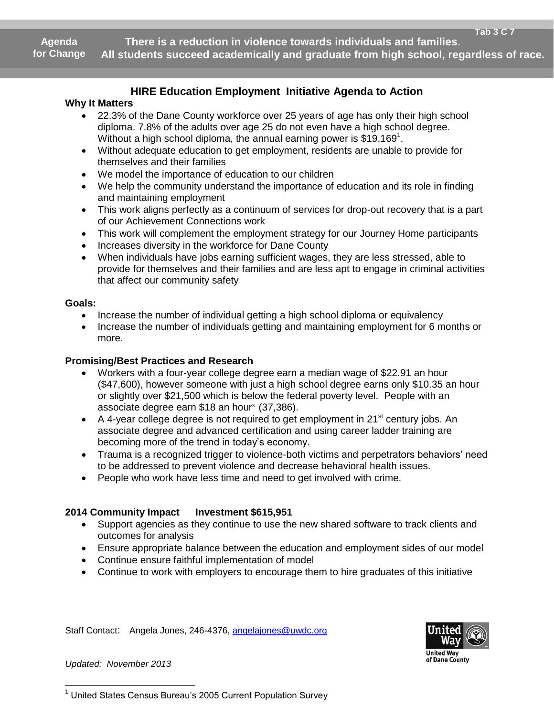**Agenda for Change**

 **There is a reduction in violence towards individuals and families**. **All students succeed academically and graduate from high school, regardless of race.**

# **HIRE Education Employment Initiative Agenda to Action** .

## **Why It Matters**

- 22.3% of the Dane County workforce over 25 years of age has only their high school diploma. 7.8% of the adults over age 25 do not even have a high school degree. Without a high school diploma, the annual earning power is \$19,169<sup>1</sup>.
- Without adequate education to get employment, residents are unable to provide for themselves and their families
- We model the importance of education to our children
- We help the community understand the importance of education and its role in finding and maintaining employment
- This work aligns perfectly as a continuum of services for drop-out recovery that is a part of our Achievement Connections work
- This work will complement the employment strategy for our Journey Home participants
- Increases diversity in the workforce for Dane County
- When individuals have jobs earning sufficient wages, they are less stressed, able to provide for themselves and their families and are less apt to engage in criminal activities that affect our community safety

#### **Goals:**

- Increase the number of individual getting a high school diploma or equivalency
- Increase the number of individuals getting and maintaining employment for 6 months or more.

#### **Promising/Best Practices and Research**

- Workers with a four-year college degree earn a median wage of \$22.91 an hour (\$47,600), however someone with just a high school degree earns only \$10.35 an hour or slightly over \$21,500 which is below the federal poverty level. People with an associate degree earn \$18 an hour<sup>3</sup> (37,386).
- $\bullet$  A 4-year college degree is not required to get employment in 21<sup>st</sup> century jobs. An associate degree and advanced certification and using career ladder training are becoming more of the trend in today's economy.
- Trauma is a recognized trigger to violence-both victims and perpetrators behaviors' need to be addressed to prevent violence and decrease behavioral health issues.
- People who work have less time and need to get involved with crime.

### **2014 Community Impact Investment \$615,951**

- Support agencies as they continue to use the new shared software to track clients and outcomes for analysis
- Ensure appropriate balance between the education and employment sides of our model
- Continue ensure faithful implementation of model
- Continue to work with employers to encourage them to hire graduates of this initiative

Staff Contact: Angela Jones, 246-4376, [angelajones@uwdc.org](mailto:angelajones@uwdc.org)



*Updated: November 2013*

  $1$  United States Census Bureau's 2005 Current Population Survey